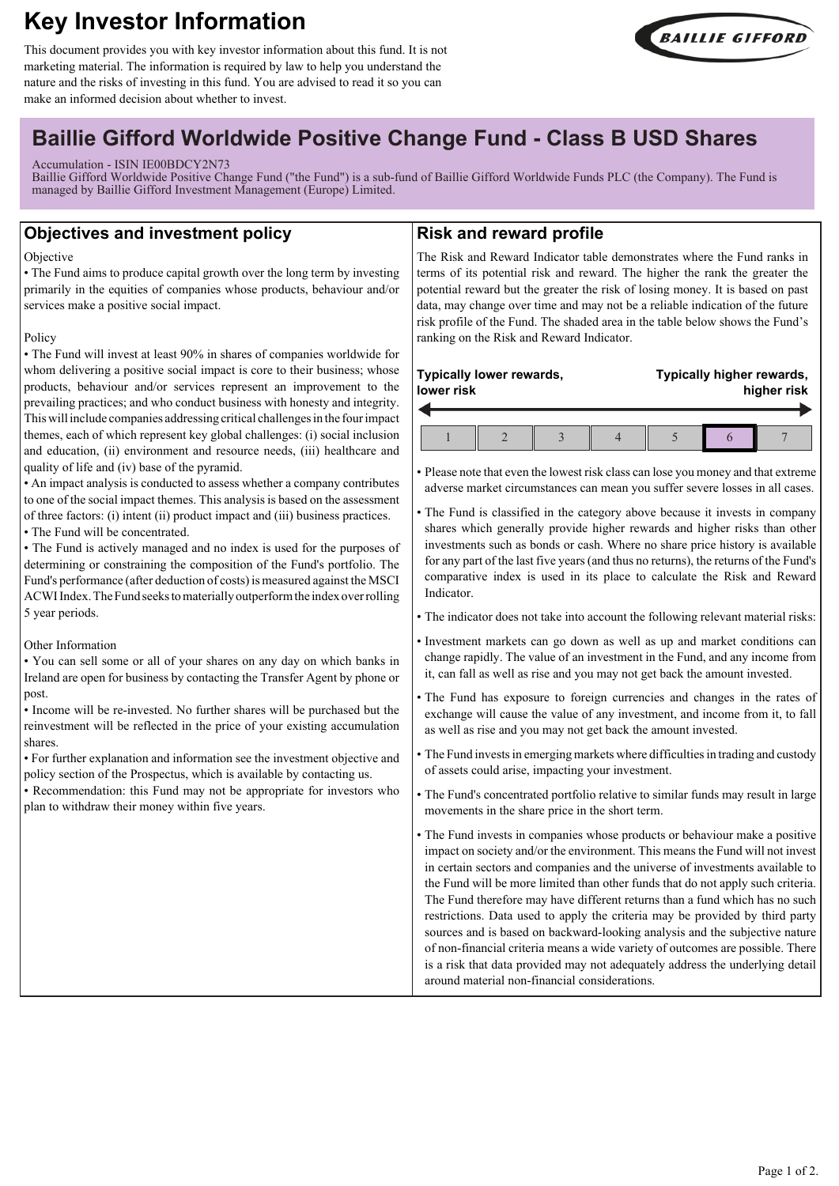# **Key Investor Information**

This document provides you with key investor information about this fund. It is not marketing material. The information is required by law to help you understand the nature and the risks of investing in this fund. You are advised to read it so you can make an informed decision about whether to invest.



## **Baillie Gifford Worldwide Positive Change Fund - Class B USD Shares**

#### Accumulation - ISIN IE00BDCY2N73

Baillie Gifford Worldwide Positive Change Fund ("the Fund") is a sub-fund of Baillie Gifford Worldwide Funds PLC (the Company). The Fund is managed by Baillie Gifford Investment Management (Europe) Limited.

## **Objectives and investment policy**

#### Objective

• The Fund aims to produce capital growth over the long term by investing primarily in the equities of companies whose products, behaviour and/or services make a positive social impact.

#### Policy

• The Fund will invest at least 90% in shares of companies worldwide for whom delivering a positive social impact is core to their business; whose products, behaviour and/or services represent an improvement to the prevailing practices; and who conduct business with honesty and integrity. This will include companies addressing critical challenges in the four impact themes, each of which represent key global challenges: (i) social inclusion and education, (ii) environment and resource needs, (iii) healthcare and quality of life and (iv) base of the pyramid.

• An impact analysis is conducted to assess whether a company contributes to one of the social impact themes. This analysis is based on the assessment of three factors: (i) intent (ii) product impact and (iii) business practices. • The Fund will be concentrated.

• The Fund is actively managed and no index is used for the purposes of determining or constraining the composition of the Fund's portfolio. The Fund's performance (after deduction of costs) is measured against the MSCI ACWI Index. The Fund seeks to materially outperform the index over rolling 5 year periods.

## Other Information

• You can sell some or all of your shares on any day on which banks in Ireland are open for business by contacting the Transfer Agent by phone or post.

• Income will be re-invested. No further shares will be purchased but the reinvestment will be reflected in the price of your existing accumulation shares.

• For further explanation and information see the investment objective and policy section of the Prospectus, which is available by contacting us.

• Recommendation: this Fund may not be appropriate for investors who plan to withdraw their money within five years.

## **Risk and reward profile**

The Risk and Reward Indicator table demonstrates where the Fund ranks in terms of its potential risk and reward. The higher the rank the greater the potential reward but the greater the risk of losing money. It is based on past data, may change over time and may not be a reliable indication of the future risk profile of the Fund. The shaded area in the table below shows the Fund's ranking on the Risk and Reward Indicator.

## **Typically lower rewards, lower risk Typically higher rewards, higher risk**  $1 \parallel 2 \parallel 3 \parallel 4 \parallel 5 \parallel 6 \parallel 7$

• Please note that even the lowest risk class can lose you money and that extreme adverse market circumstances can mean you suffer severe losses in all cases.

- The Fund is classified in the category above because it invests in company shares which generally provide higher rewards and higher risks than other investments such as bonds or cash. Where no share price history is available for any part of the last five years (and thus no returns), the returns of the Fund's comparative index is used in its place to calculate the Risk and Reward Indicator.
- The indicator does not take into account the following relevant material risks:
- Investment markets can go down as well as up and market conditions can change rapidly. The value of an investment in the Fund, and any income from it, can fall as well as rise and you may not get back the amount invested.
- The Fund has exposure to foreign currencies and changes in the rates of exchange will cause the value of any investment, and income from it, to fall as well as rise and you may not get back the amount invested.
- The Fund invests in emerging markets where difficulties in trading and custody of assets could arise, impacting your investment.
- The Fund's concentrated portfolio relative to similar funds may result in large movements in the share price in the short term.

• The Fund invests in companies whose products or behaviour make a positive impact on society and/or the environment. This means the Fund will not invest in certain sectors and companies and the universe of investments available to the Fund will be more limited than other funds that do not apply such criteria. The Fund therefore may have different returns than a fund which has no such restrictions. Data used to apply the criteria may be provided by third party sources and is based on backward-looking analysis and the subjective nature of non-financial criteria means a wide variety of outcomes are possible. There is a risk that data provided may not adequately address the underlying detail around material non-financial considerations.